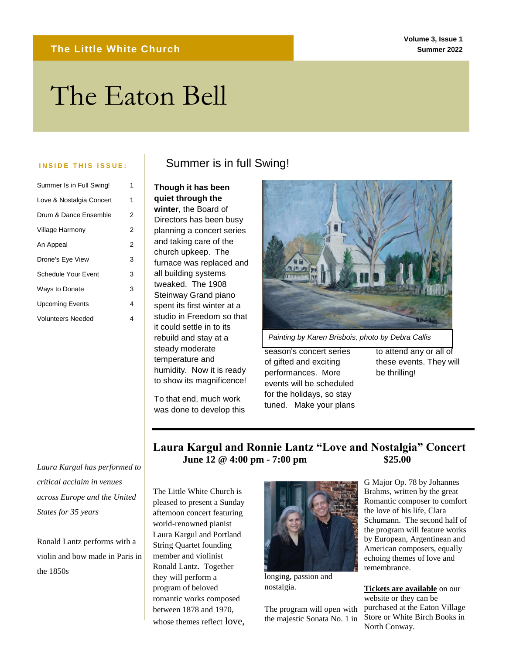#### **Volume 3, Issue 1 Summer 2022**

# The Eaton Bell The Text Box Tools tab to change the text box.

| Summer Is in Full Swing!   | 1              |
|----------------------------|----------------|
| Love & Nostalgia Concert   | 1              |
| Drum & Dance Ensemble      | 2              |
| Village Harmony            | $\overline{c}$ |
| An Appeal                  | 2              |
| Drone's Eye View           | 3              |
| <b>Schedule Your Event</b> | 3              |
| Ways to Donate             | 3              |
| <b>Upcoming Events</b>     | 4              |
| <b>Volunteers Needed</b>   | 4              |
|                            |                |

*Laura Kargul has performed to critical acclaim in venues across Europe and the United States for 35 years*

Ronald Lantz performs with a violin and bow made in Paris in the 1850s

### **INSIDE THIS ISSUE:** Summer is in full Swing!

**Though it has been quiet through the winter**, the Board of Directors has been busy planning a concert series and taking care of the church upkeep. The furnace was replaced and all building systems tweaked. The 1908 Steinway Grand piano spent its first winter at a studio in Freedom so that it could settle in to its rebuild and stay at a steady moderate temperature and humidity. Now it is ready to show its magnificence!

To that end, much work was done to develop this



*Painting by Karen Brisbois, photo by Debra Callis*

season's concert series of gifted and exciting performances. More events will be scheduled for the holidays, so stay tuned. Make your plans to attend any or all of these events. They will be thrilling!

**Laura Kargul and Ronnie Lantz "Love and Nostalgia" Concert June 12 @ 4:00 pm - 7:00 pm \$25.00**

The Little White Church is pleased to present a Sunday afternoon concert featuring world-renowned pianist Laura Kargul and Portland String Quartet founding member and violinist Ronald Lantz. Together they will perform a program of beloved romantic works composed between 1878 and 1970, whose themes reflect love,



longing, passion and nostalgia.

The program will open with the majestic Sonata No. 1 in G Major Op. 78 by Johannes Brahms, written by the great Romantic composer to comfort the love of his life, Clara Schumann. The second half of the program will feature works by European, Argentinean and American composers, equally echoing themes of love and remembrance.

**[Tickets are available](https://www.eventbrite.com/e/laura-kargul-and-ronnie-lantz-love-and-nostalgia-concert-tickets-327412598897)** on our website or they can be purchased at the Eaton Village Store or White Birch Books in North Conway.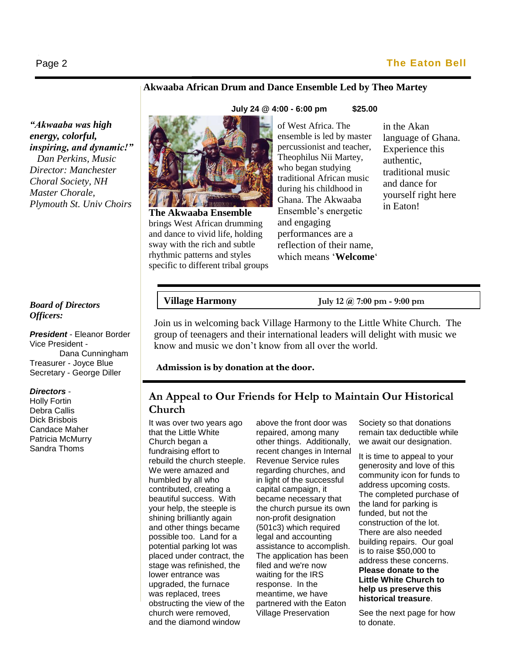#### **Akwaaba African Drum and Dance Ensemble Led by Theo Martey**

*"Akwaaba was high energy, colorful, inspiring, and dynamic!" Dan Perkins, Music Director: Manchester Choral Society, NH Master Chorale, Plymouth St. Univ Choirs* 

#### *Board of Directors Officers:*

*President* - Eleanor Border Vice President - Dana Cunningham Treasurer - Joyce Blue Secretary - George Diller

#### *Directors* -

Holly Fortin Debra Callis Dick Brisbois Candace Maher Patricia McMurry Sandra Thoms



**The Akwaaba Ensemble** brings West African drumming and dance to vivid life, holding sway with the rich and subtle rhythmic patterns and styles specific to different tribal groups of West Africa. The ensemble is led by master percussionist and teacher, Theophilus Nii Martey, who began studying traditional African music during his childhood in Ghana. The Akwaaba Ensemble's energetic and engaging performances are a reflection of their name, which means '**Welcome**' in the Akan language of Ghana. Experience this authentic, traditional music and dance for yourself right here in Eaton!

# **Village Harmon**

**Village Harmony July 12 @ 7:00 pm - 9:00 pm**

Join us in welcoming back Village Harmony to the Little White Church. The group of teenagers and their international leaders will delight with music we know and music we don't know from all over the world.

**Admission is by donation at the door.**

### **An Appeal to Our Friends for Help to Maintain Our Historical Church**

It was over two years ago that the Little White Church began a fundraising effort to rebuild the church steeple. We were amazed and humbled by all who contributed, creating a beautiful success. With your help, the steeple is shining brilliantly again and other things became possible too. Land for a potential parking lot was placed under contract, the stage was refinished, the lower entrance was upgraded, the furnace was replaced, trees obstructing the view of the church were removed, and the diamond window

above the front door was repaired, among many other things. Additionally, recent changes in Internal Revenue Service rules regarding churches, and in light of the successful capital campaign, it became necessary that the church pursue its own non-profit designation (501c3) which required legal and accounting assistance to accomplish. The application has been filed and we're now waiting for the IRS response. In the meantime, we have partnered with the Eaton Village Preservation

Society so that donations remain tax deductible while we await our designation.

It is time to appeal to your generosity and love of this community icon for funds to address upcoming costs. The completed purchase of the land for parking is funded, but not the construction of the lot. There are also needed building repairs. Our goal is to raise \$50,000 to address these concerns. **Please donate to the Little White Church to help us preserve this historical treasure**.

See the next page for how to donate.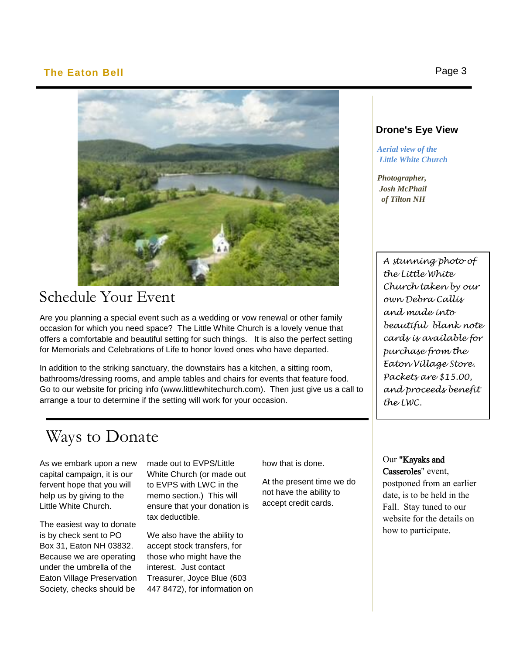#### **The Eaton Bell** Page 3

Ι



## Schedule Your Event

Are you planning a special event such as a wedding or vow renewal or other family occasion for which you need space? The Little White Church is a lovely venue that offers a comfortable and beautiful setting for such things. It is also the perfect setting for Memorials and Celebrations of Life to honor loved ones who have departed.

In addition to the striking sanctuary, the downstairs has a kitchen, a sitting room, bathrooms/dressing rooms, and ample tables and chairs for events that feature food. Go to our website for pricing info (www.littlewhitechurch.com). Then just give us a call to arrange a tour to determine if the setting will work for your occasion.

# Ways to Donate

As we embark upon a new capital campaign, it is our fervent hope that you will help us by giving to the Little White Church.

The easiest way to donate is by check sent to PO Box 31, Eaton NH 03832. Because we are operating under the umbrella of the Eaton Village Preservation Society, checks should be

made out to EVPS/Little White Church (or made out to EVPS with LWC in the memo section.) This will ensure that your donation is tax deductible.

We also have the ability to accept stock transfers, for those who might have the interest. Just contact Treasurer, Joyce Blue (603 447 8472), for information on how that is done.

At the present time we do not have the ability to accept credit cards.

#### **Drone's Eye View**

 *Aerial view of the Little White Church*

 *Photographer, Josh McPhail of Tilton NH*

> *A stunning photo of the Little White Church taken by our own Debra Callis and made into beautiful blank note cards is available for purchase from the Eaton Village Store. Packets are \$15.00, and proceeds benefit the LWC.*

Our "Kayaks and Casseroles" event, postponed from an earlier date, is to be held in the Fall. Stay tuned to our website for the details on how to participate.